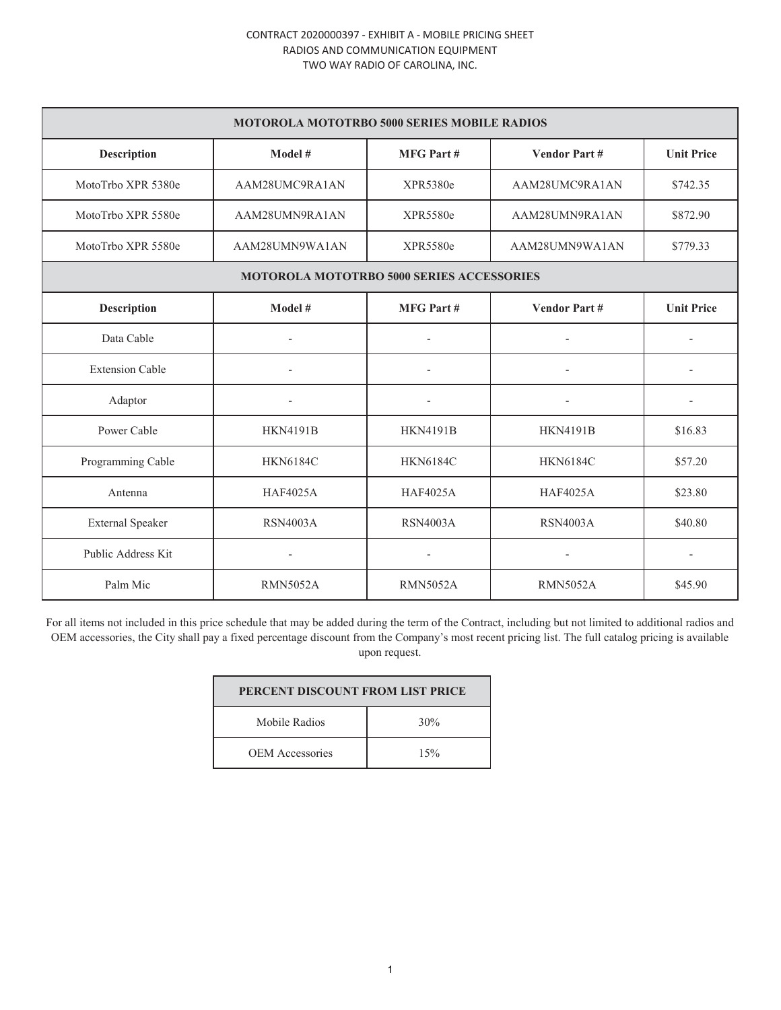## CONTRACT 2020000397 - EXHIBIT A - MOBILE PRICING SHEET RADIOS AND COMMUNICATION EQUIPMENT TWO WAY RADIO OF CAROLINA, INC.

| <b>MOTOROLA MOTOTRBO 5000 SERIES MOBILE RADIOS</b> |                          |                          |                     |                   |  |
|----------------------------------------------------|--------------------------|--------------------------|---------------------|-------------------|--|
| Description                                        | Model #                  | <b>MFG Part#</b>         | <b>Vendor Part#</b> | <b>Unit Price</b> |  |
| MotoTrbo XPR 5380e                                 | AAM28UMC9RA1AN           | XPR5380e                 | AAM28UMC9RA1AN      | \$742.35          |  |
| MotoTrbo XPR 5580e                                 | AAM28UMN9RA1AN           | XPR5580e                 | AAM28UMN9RA1AN      | \$872.90          |  |
| MotoTrbo XPR 5580e                                 | AAM28UMN9WA1AN           | XPR5580e                 | AAM28UMN9WA1AN      | \$779.33          |  |
| <b>MOTOROLA MOTOTRBO 5000 SERIES ACCESSORIES</b>   |                          |                          |                     |                   |  |
| Description                                        | Model #                  | <b>MFG Part#</b>         | <b>Vendor Part#</b> | <b>Unit Price</b> |  |
| Data Cable                                         | ٠                        |                          |                     |                   |  |
| <b>Extension Cable</b>                             | $\overline{\phantom{a}}$ |                          |                     |                   |  |
| Adaptor                                            | $\overline{a}$           | $\overline{\phantom{a}}$ |                     | $\overline{a}$    |  |
| Power Cable                                        | <b>HKN4191B</b>          | <b>HKN4191B</b>          | <b>HKN4191B</b>     | \$16.83           |  |
| Programming Cable                                  | <b>HKN6184C</b>          | <b>HKN6184C</b>          | <b>HKN6184C</b>     | \$57.20           |  |
| Antenna                                            | <b>HAF4025A</b>          | <b>HAF4025A</b>          | <b>HAF4025A</b>     | \$23.80           |  |
| <b>External Speaker</b>                            | <b>RSN4003A</b>          | <b>RSN4003A</b>          | <b>RSN4003A</b>     | \$40.80           |  |
| Public Address Kit                                 | $\overline{a}$           | L,                       |                     |                   |  |
| Palm Mic                                           | <b>RMN5052A</b>          | <b>RMN5052A</b>          | <b>RMN5052A</b>     | \$45.90           |  |

For all items not included in this price schedule that may be added during the term of the Contract, including but not limited to additional radios and OEM accessories, the City shall pay a fixed percentage discount from the Company's most recent pricing list. The full catalog pricing is available upon request.

| PERCENT DISCOUNT FROM LIST PRICE |     |  |  |
|----------------------------------|-----|--|--|
| Mobile Radios                    | 30% |  |  |
| <b>OEM</b> Accessories           | 15% |  |  |